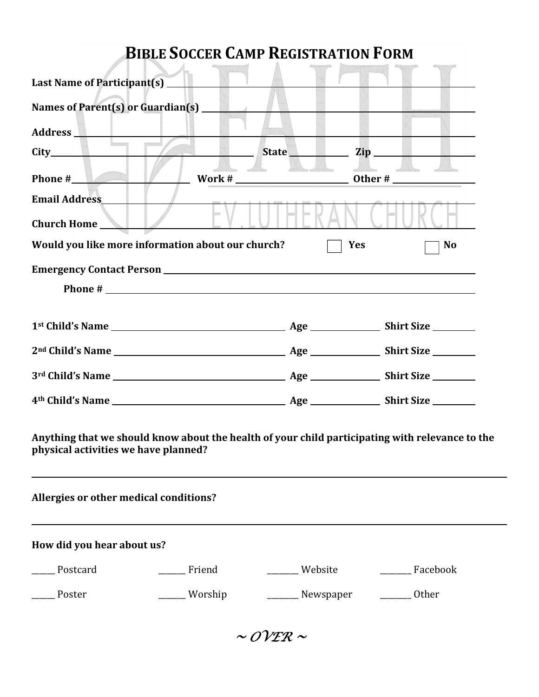## **BIBLE SOCCER CAMP REGISTRATION FORM**

| Last Name of Participant(s) __                                                                                                          |         |           |                     |
|-----------------------------------------------------------------------------------------------------------------------------------------|---------|-----------|---------------------|
| Names of Parent(s) or Guardian(s) __                                                                                                    |         |           |                     |
| Address 1                                                                                                                               |         |           |                     |
| City <b>City</b>                                                                                                                        |         |           | State Zip Zip       |
| Phone #                                                                                                                                 |         |           |                     |
| <b>Email Address</b>                                                                                                                    |         |           |                     |
| Church Home                                                                                                                             |         |           |                     |
| Would you like more information about our church?                                                                                       |         |           | <b>Yes</b><br>No    |
|                                                                                                                                         |         |           |                     |
| Phone #                                                                                                                                 |         |           |                     |
|                                                                                                                                         |         |           |                     |
|                                                                                                                                         |         |           |                     |
|                                                                                                                                         |         |           |                     |
|                                                                                                                                         |         |           |                     |
|                                                                                                                                         |         |           |                     |
| Anything that we should know about the health of your child participating with relevance to the<br>physical activities we have planned? |         |           |                     |
| Allergies or other medical conditions?                                                                                                  |         |           |                     |
| How did you hear about us?                                                                                                              |         |           |                     |
| Postcard                                                                                                                                | Friend  | _Website  | __________ Facebook |
| Poster                                                                                                                                  | Worship | Newspaper | Other               |

 $\sim$  OVER  $\sim$